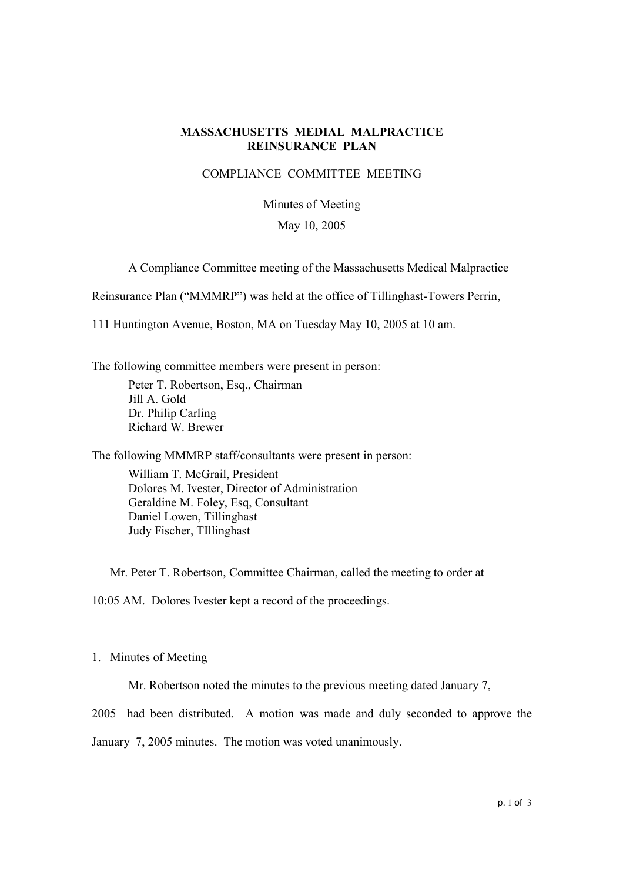# **MASSACHUSETTS MEDIAL MALPRACTICE REINSURANCE PLAN**

## COMPLIANCE COMMITTEE MEETING

# Minutes of Meeting

## May 10, 2005

A Compliance Committee meeting of the Massachusetts Medical Malpractice

Reinsurance Plan ("MMMRP") was held at the office of Tillinghast-Towers Perrin,

111 Huntington Avenue, Boston, MA on Tuesday May 10, 2005 at 10 am.

The following committee members were present in person:

Peter T. Robertson, Esq., Chairman Jill A. Gold Dr. Philip Carling Richard W. Brewer

The following MMMRP staff/consultants were present in person:

William T. McGrail, President Dolores M. Ivester, Director of Administration Geraldine M. Foley, Esq, Consultant Daniel Lowen, Tillinghast Judy Fischer, TIllinghast

Mr. Peter T. Robertson, Committee Chairman, called the meeting to order at

10:05 AM. Dolores Ivester kept a record of the proceedings.

### 1. Minutes of Meeting

Mr. Robertson noted the minutes to the previous meeting dated January 7,

2005 had been distributed. A motion was made and duly seconded to approve the

January 7, 2005 minutes. The motion was voted unanimously.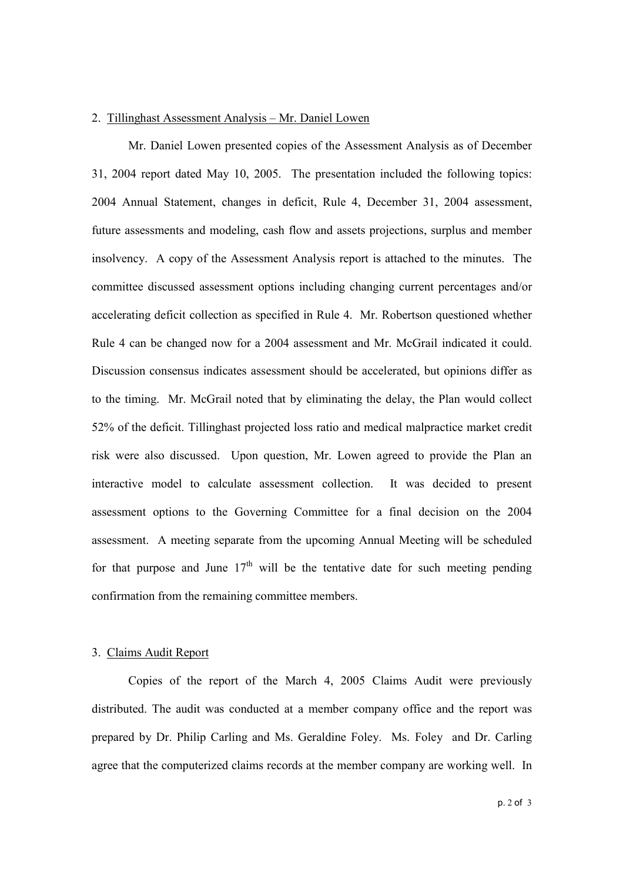#### 2. Tillinghast Assessment Analysis – Mr. Daniel Lowen

Mr. Daniel Lowen presented copies of the Assessment Analysis as of December 31, 2004 report dated May 10, 2005. The presentation included the following topics: 2004 Annual Statement, changes in deficit, Rule 4, December 31, 2004 assessment, future assessments and modeling, cash flow and assets projections, surplus and member insolvency. A copy of the Assessment Analysis report is attached to the minutes. The committee discussed assessment options including changing current percentages and/or accelerating deficit collection as specified in Rule 4. Mr. Robertson questioned whether Rule 4 can be changed now for a 2004 assessment and Mr. McGrail indicated it could. Discussion consensus indicates assessment should be accelerated, but opinions differ as to the timing. Mr. McGrail noted that by eliminating the delay, the Plan would collect 52% of the deficit. Tillinghast projected loss ratio and medical malpractice market credit risk were also discussed. Upon question, Mr. Lowen agreed to provide the Plan an interactive model to calculate assessment collection. It was decided to present assessment options to the Governing Committee for a final decision on the 2004 assessment. A meeting separate from the upcoming Annual Meeting will be scheduled for that purpose and June  $17<sup>th</sup>$  will be the tentative date for such meeting pending confirmation from the remaining committee members.

#### 3. Claims Audit Report

Copies of the report of the March 4, 2005 Claims Audit were previously distributed. The audit was conducted at a member company office and the report was prepared by Dr. Philip Carling and Ms. Geraldine Foley. Ms. Foley and Dr. Carling agree that the computerized claims records at the member company are working well. In